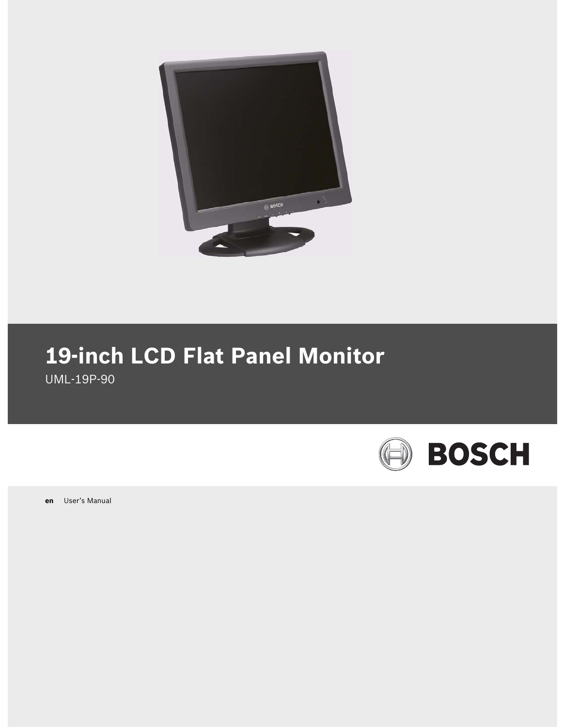

# **19-inch LCD Flat Panel Monitor** UML-19P-90

**en** User's Manual

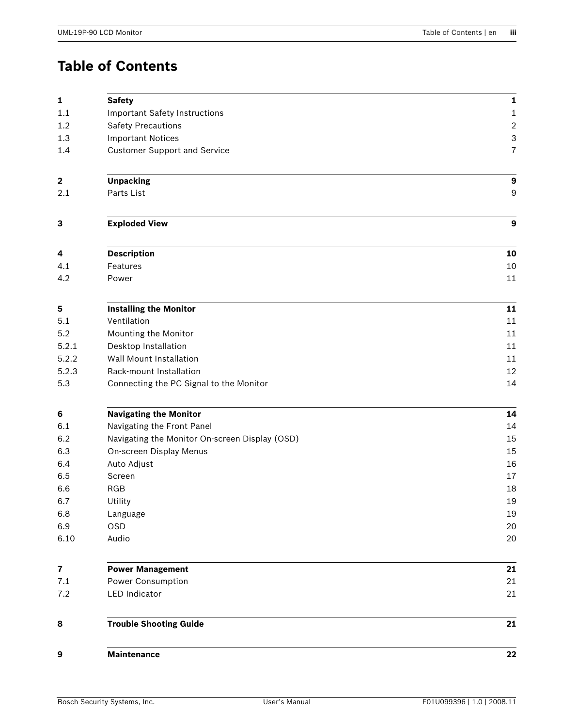# **Table of Contents**

| $\mathbf 1$             | <b>Safety</b>                                  | $\mathbf{1}$            |
|-------------------------|------------------------------------------------|-------------------------|
| 1.1                     | Important Safety Instructions                  | $\mathbf{1}$            |
| 1.2                     | <b>Safety Precautions</b>                      | $\overline{\mathbf{c}}$ |
| 1.3                     | <b>Important Notices</b>                       | 3                       |
| 1.4                     | <b>Customer Support and Service</b>            | $\overline{7}$          |
| $\boldsymbol{2}$        | <b>Unpacking</b>                               | 9                       |
| 2.1                     | Parts List                                     | 9                       |
| 3                       | <b>Exploded View</b>                           | 9                       |
| 4                       | <b>Description</b>                             | 10                      |
| 4.1                     | Features                                       | 10                      |
| 4.2                     | Power                                          | 11                      |
| 5                       | <b>Installing the Monitor</b>                  | 11                      |
| 5.1                     | Ventilation                                    | 11                      |
| 5.2                     | Mounting the Monitor                           | 11                      |
| 5.2.1                   | Desktop Installation                           | 11                      |
| 5.2.2                   | Wall Mount Installation                        | 11                      |
| 5.2.3                   | Rack-mount Installation                        | 12                      |
| 5.3                     | Connecting the PC Signal to the Monitor        | 14                      |
| 6                       | <b>Navigating the Monitor</b>                  | 14                      |
| 6.1                     | Navigating the Front Panel                     | 14                      |
| 6.2                     | Navigating the Monitor On-screen Display (OSD) | 15                      |
| 6.3                     | On-screen Display Menus                        | 15                      |
| 6.4                     | Auto Adjust                                    | 16                      |
| 6.5                     | Screen                                         | 17                      |
| 6.6                     | <b>RGB</b>                                     | 18                      |
| 6.7                     | Utility                                        | 19                      |
| 6.8                     | Language                                       | 19                      |
| 6.9                     | <b>OSD</b>                                     | 20                      |
| 6.10                    | Audio                                          | 20                      |
| $\overline{\mathbf{r}}$ | <b>Power Management</b>                        | 21                      |
| 7.1                     | Power Consumption                              | 21                      |
| 7.2                     | <b>LED Indicator</b>                           | 21                      |
| 8                       | <b>Trouble Shooting Guide</b>                  | 21                      |
| 9                       | <b>Maintenance</b>                             | 22                      |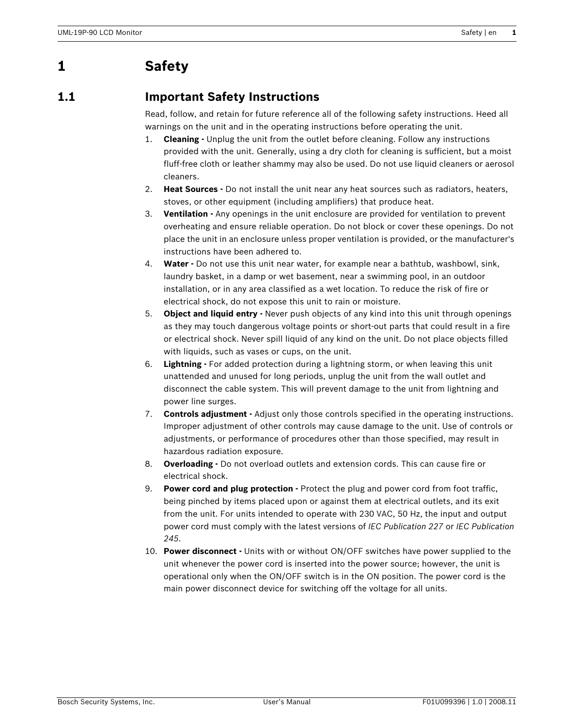# **1 Safety**

# **1.1 Important Safety Instructions**

Read, follow, and retain for future reference all of the following safety instructions. Heed all warnings on the unit and in the operating instructions before operating the unit.

- 1. **Cleaning** Unplug the unit from the outlet before cleaning. Follow any instructions provided with the unit. Generally, using a dry cloth for cleaning is sufficient, but a moist fluff-free cloth or leather shammy may also be used. Do not use liquid cleaners or aerosol cleaners.
- 2. **Heat Sources** Do not install the unit near any heat sources such as radiators, heaters, stoves, or other equipment (including amplifiers) that produce heat.
- 3. **Ventilation -** Any openings in the unit enclosure are provided for ventilation to prevent overheating and ensure reliable operation. Do not block or cover these openings. Do not place the unit in an enclosure unless proper ventilation is provided, or the manufacturer's instructions have been adhered to.
- 4. **Water** Do not use this unit near water, for example near a bathtub, washbowl, sink, laundry basket, in a damp or wet basement, near a swimming pool, in an outdoor installation, or in any area classified as a wet location. To reduce the risk of fire or electrical shock, do not expose this unit to rain or moisture.
- 5. **Object and liquid entry** Never push objects of any kind into this unit through openings as they may touch dangerous voltage points or short-out parts that could result in a fire or electrical shock. Never spill liquid of any kind on the unit. Do not place objects filled with liquids, such as vases or cups, on the unit.
- 6. **Lightning** For added protection during a lightning storm, or when leaving this unit unattended and unused for long periods, unplug the unit from the wall outlet and disconnect the cable system. This will prevent damage to the unit from lightning and power line surges.
- 7. **Controls adjustment -** Adjust only those controls specified in the operating instructions. Improper adjustment of other controls may cause damage to the unit. Use of controls or adjustments, or performance of procedures other than those specified, may result in hazardous radiation exposure.
- 8. **Overloading** Do not overload outlets and extension cords. This can cause fire or electrical shock.
- 9. **Power cord and plug protection** Protect the plug and power cord from foot traffic, being pinched by items placed upon or against them at electrical outlets, and its exit from the unit. For units intended to operate with 230 VAC, 50 Hz, the input and output power cord must comply with the latest versions of *IEC Publication 227* or *IEC Publication 245*.
- 10. **Power disconnect** Units with or without ON/OFF switches have power supplied to the unit whenever the power cord is inserted into the power source; however, the unit is operational only when the ON/OFF switch is in the ON position. The power cord is the main power disconnect device for switching off the voltage for all units.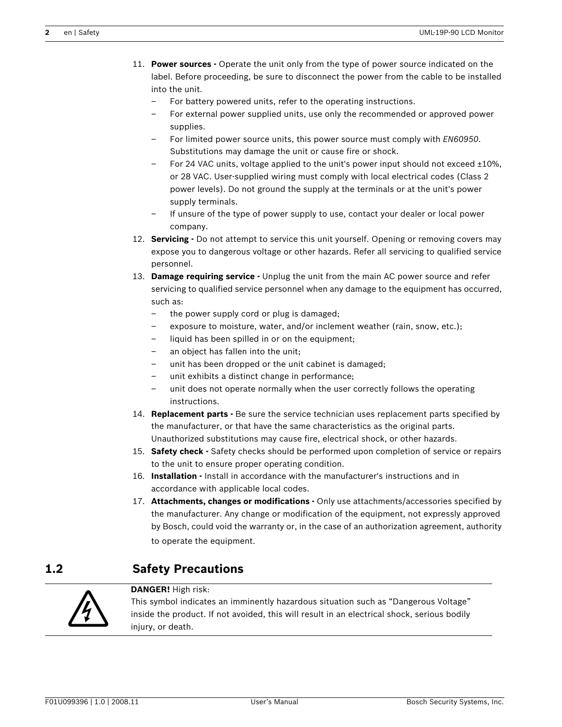- 11. **Power sources** Operate the unit only from the type of power source indicated on the label. Before proceeding, be sure to disconnect the power from the cable to be installed into the unit.
	- For battery powered units, refer to the operating instructions.
	- For external power supplied units, use only the recommended or approved power supplies.
	- For limited power source units, this power source must comply with *EN60950*. Substitutions may damage the unit or cause fire or shock.
	- For 24 VAC units, voltage applied to the unit's power input should not exceed ±10%, or 28 VAC. User-supplied wiring must comply with local electrical codes (Class 2 power levels). Do not ground the supply at the terminals or at the unit's power supply terminals.
	- If unsure of the type of power supply to use, contact your dealer or local power company.
- 12. **Servicing -** Do not attempt to service this unit yourself. Opening or removing covers may expose you to dangerous voltage or other hazards. Refer all servicing to qualified service personnel.
- 13. **Damage requiring service -** Unplug the unit from the main AC power source and refer servicing to qualified service personnel when any damage to the equipment has occurred, such as:
	- the power supply cord or plug is damaged;
	- exposure to moisture, water, and/or inclement weather (rain, snow, etc.);
	- liquid has been spilled in or on the equipment;
	- an object has fallen into the unit;
	- unit has been dropped or the unit cabinet is damaged;
	- unit exhibits a distinct change in performance;
	- unit does not operate normally when the user correctly follows the operating instructions.
- 14. **Replacement parts** Be sure the service technician uses replacement parts specified by the manufacturer, or that have the same characteristics as the original parts. Unauthorized substitutions may cause fire, electrical shock, or other hazards.
- 15. **Safety check -** Safety checks should be performed upon completion of service or repairs to the unit to ensure proper operating condition.
- 16. **Installation** Install in accordance with the manufacturer's instructions and in accordance with applicable local codes.
- 17. **Attachments, changes or modifications** Only use attachments/accessories specified by the manufacturer. Any change or modification of the equipment, not expressly approved by Bosch, could void the warranty or, in the case of an authorization agreement, authority to operate the equipment.

# **1.2 Safety Precautions**



#### **DANGER!** High risk:

This symbol indicates an imminently hazardous situation such as "Dangerous Voltage" inside the product. If not avoided, this will result in an electrical shock, serious bodily injury, or death.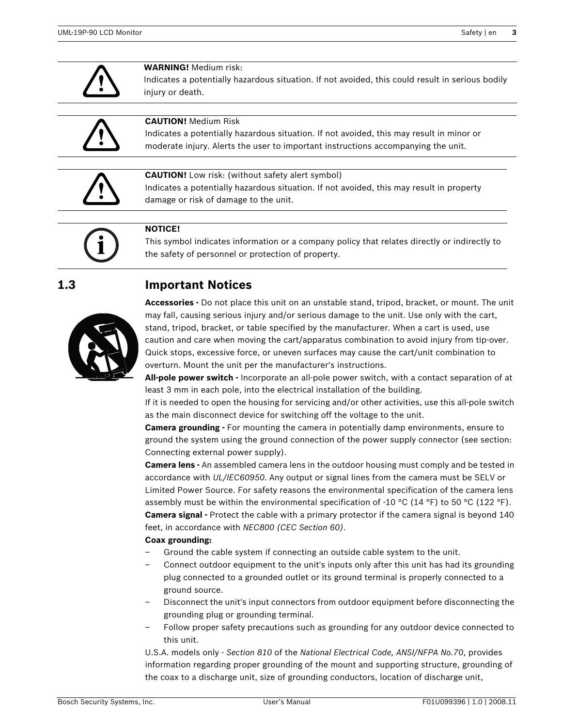| <b>WARNING!</b> Medium risk:<br>Indicates a potentially hazardous situation. If not avoided, this could result in serious bodily<br>injury or death.                                                         |
|--------------------------------------------------------------------------------------------------------------------------------------------------------------------------------------------------------------|
| <b>CAUTION!</b> Medium Risk<br>Indicates a potentially hazardous situation. If not avoided, this may result in minor or<br>moderate injury. Alerts the user to important instructions accompanying the unit. |
| <b>CAUTION!</b> Low risk: (without safety alert symbol)<br>Indicates a potentially hazardous situation. If not avoided, this may result in property<br>damage or risk of damage to the unit.                 |
| <b>NOTICE!</b><br>This symbol indicates information or a company policy that relates directly or indirectly to<br>the safety of personnel or protection of property.                                         |

# **1.3 Important Notices**



**Accessories -** Do not place this unit on an unstable stand, tripod, bracket, or mount. The unit may fall, causing serious injury and/or serious damage to the unit. Use only with the cart, stand, tripod, bracket, or table specified by the manufacturer. When a cart is used, use caution and care when moving the cart/apparatus combination to avoid injury from tip-over. Quick stops, excessive force, or uneven surfaces may cause the cart/unit combination to overturn. Mount the unit per the manufacturer's instructions.

**All-pole power switch -** Incorporate an all-pole power switch, with a contact separation of at least 3 mm in each pole, into the electrical installation of the building.

If it is needed to open the housing for servicing and/or other activities, use this all-pole switch as the main disconnect device for switching off the voltage to the unit.

**Camera grounding -** For mounting the camera in potentially damp environments, ensure to ground the system using the ground connection of the power supply connector (see section: Connecting external power supply).

**Camera lens -** An assembled camera lens in the outdoor housing must comply and be tested in accordance with *UL/IEC60950*. Any output or signal lines from the camera must be SELV or Limited Power Source. For safety reasons the environmental specification of the camera lens assembly must be within the environmental specification of -10 °C (14 °F) to 50 °C (122 °F). **Camera signal -** Protect the cable with a primary protector if the camera signal is beyond 140 feet, in accordance with *NEC800 (CEC Section 60)*.

## **Coax grounding:**

- Ground the cable system if connecting an outside cable system to the unit.
- Connect outdoor equipment to the unit's inputs only after this unit has had its grounding plug connected to a grounded outlet or its ground terminal is properly connected to a ground source.
- Disconnect the unit's input connectors from outdoor equipment before disconnecting the grounding plug or grounding terminal.
- Follow proper safety precautions such as grounding for any outdoor device connected to this unit.

U.S.A. models only - *Section 810* of the *National Electrical Code, ANSI/NFPA No.70*, provides information regarding proper grounding of the mount and supporting structure, grounding of the coax to a discharge unit, size of grounding conductors, location of discharge unit,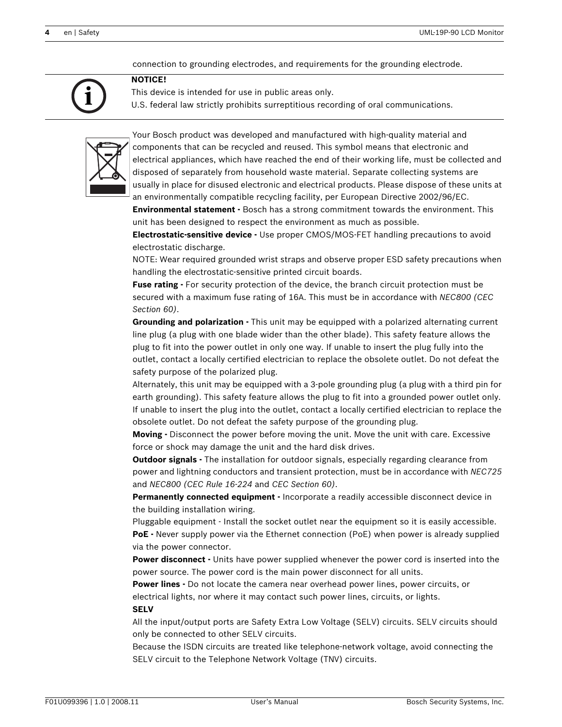**i**

connection to grounding electrodes, and requirements for the grounding electrode.

## **NOTICE!**

This device is intended for use in public areas only.

U.S. federal law strictly prohibits surreptitious recording of oral communications.



Your Bosch product was developed and manufactured with high-quality material and components that can be recycled and reused. This symbol means that electronic and electrical appliances, which have reached the end of their working life, must be collected and disposed of separately from household waste material. Separate collecting systems are usually in place for disused electronic and electrical products. Please dispose of these units at an environmentally compatible recycling facility, per European Directive 2002/96/EC.

**Environmental statement -** Bosch has a strong commitment towards the environment. This unit has been designed to respect the environment as much as possible.

**Electrostatic-sensitive device -** Use proper CMOS/MOS-FET handling precautions to avoid electrostatic discharge.

NOTE: Wear required grounded wrist straps and observe proper ESD safety precautions when handling the electrostatic-sensitive printed circuit boards.

**Fuse rating -** For security protection of the device, the branch circuit protection must be secured with a maximum fuse rating of 16A. This must be in accordance with *NEC800 (CEC Section 60)*.

**Grounding and polarization -** This unit may be equipped with a polarized alternating current line plug (a plug with one blade wider than the other blade). This safety feature allows the plug to fit into the power outlet in only one way. If unable to insert the plug fully into the outlet, contact a locally certified electrician to replace the obsolete outlet. Do not defeat the safety purpose of the polarized plug.

Alternately, this unit may be equipped with a 3-pole grounding plug (a plug with a third pin for earth grounding). This safety feature allows the plug to fit into a grounded power outlet only. If unable to insert the plug into the outlet, contact a locally certified electrician to replace the obsolete outlet. Do not defeat the safety purpose of the grounding plug.

**Moving -** Disconnect the power before moving the unit. Move the unit with care. Excessive force or shock may damage the unit and the hard disk drives.

**Outdoor signals -** The installation for outdoor signals, especially regarding clearance from power and lightning conductors and transient protection, must be in accordance with *NEC725* and *NEC800 (CEC Rule 16-224* and *CEC Section 60)*.

**Permanently connected equipment -** Incorporate a readily accessible disconnect device in the building installation wiring.

Pluggable equipment - Install the socket outlet near the equipment so it is easily accessible. **PoE -** Never supply power via the Ethernet connection (PoE) when power is already supplied via the power connector.

**Power disconnect** - Units have power supplied whenever the power cord is inserted into the power source. The power cord is the main power disconnect for all units.

**Power lines -** Do not locate the camera near overhead power lines, power circuits, or electrical lights, nor where it may contact such power lines, circuits, or lights.

#### **SELV**

All the input/output ports are Safety Extra Low Voltage (SELV) circuits. SELV circuits should only be connected to other SELV circuits.

Because the ISDN circuits are treated like telephone-network voltage, avoid connecting the SELV circuit to the Telephone Network Voltage (TNV) circuits.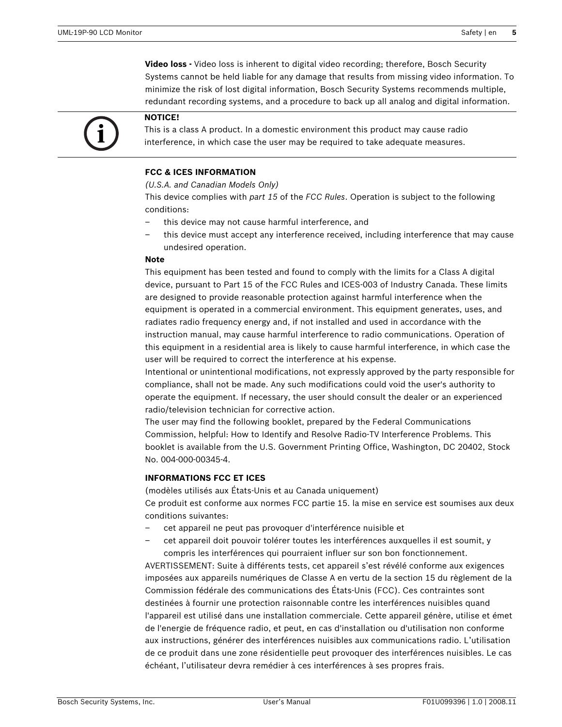**Video loss -** Video loss is inherent to digital video recording; therefore, Bosch Security Systems cannot be held liable for any damage that results from missing video information. To minimize the risk of lost digital information, Bosch Security Systems recommends multiple, redundant recording systems, and a procedure to back up all analog and digital information.



#### **NOTICE!**

This is a class A product. In a domestic environment this product may cause radio interference, in which case the user may be required to take adequate measures.

#### **FCC & ICES INFORMATION**

#### *(U.S.A. and Canadian Models Only)*

This device complies with *part 15* of the *FCC Rules*. Operation is subject to the following conditions:

- this device may not cause harmful interference, and
- this device must accept any interference received, including interference that may cause undesired operation.

#### **Note**

This equipment has been tested and found to comply with the limits for a Class A digital device, pursuant to Part 15 of the FCC Rules and ICES-003 of Industry Canada. These limits are designed to provide reasonable protection against harmful interference when the equipment is operated in a commercial environment. This equipment generates, uses, and radiates radio frequency energy and, if not installed and used in accordance with the instruction manual, may cause harmful interference to radio communications. Operation of this equipment in a residential area is likely to cause harmful interference, in which case the user will be required to correct the interference at his expense.

Intentional or unintentional modifications, not expressly approved by the party responsible for compliance, shall not be made. Any such modifications could void the user's authority to operate the equipment. If necessary, the user should consult the dealer or an experienced radio/television technician for corrective action.

The user may find the following booklet, prepared by the Federal Communications Commission, helpful: How to Identify and Resolve Radio-TV Interference Problems. This booklet is available from the U.S. Government Printing Office, Washington, DC 20402, Stock No. 004-000-00345-4.

#### **INFORMATIONS FCC ET ICES**

(modèles utilisés aux États-Unis et au Canada uniquement) Ce produit est conforme aux normes FCC partie 15. la mise en service est soumises aux deux conditions suivantes:

- cet appareil ne peut pas provoquer d'interférence nuisible et
- cet appareil doit pouvoir tolérer toutes les interférences auxquelles il est soumit, y compris les interférences qui pourraient influer sur son bon fonctionnement.

AVERTISSEMENT: Suite à différents tests, cet appareil s'est révélé conforme aux exigences imposées aux appareils numériques de Classe A en vertu de la section 15 du règlement de la Commission fédérale des communications des États-Unis (FCC). Ces contraintes sont destinées à fournir une protection raisonnable contre les interférences nuisibles quand l'appareil est utilisé dans une installation commerciale. Cette appareil génère, utilise et émet de l'energie de fréquence radio, et peut, en cas d'installation ou d'utilisation non conforme aux instructions, générer des interférences nuisibles aux communications radio. L'utilisation de ce produit dans une zone résidentielle peut provoquer des interférences nuisibles. Le cas échéant, l'utilisateur devra remédier à ces interférences à ses propres frais.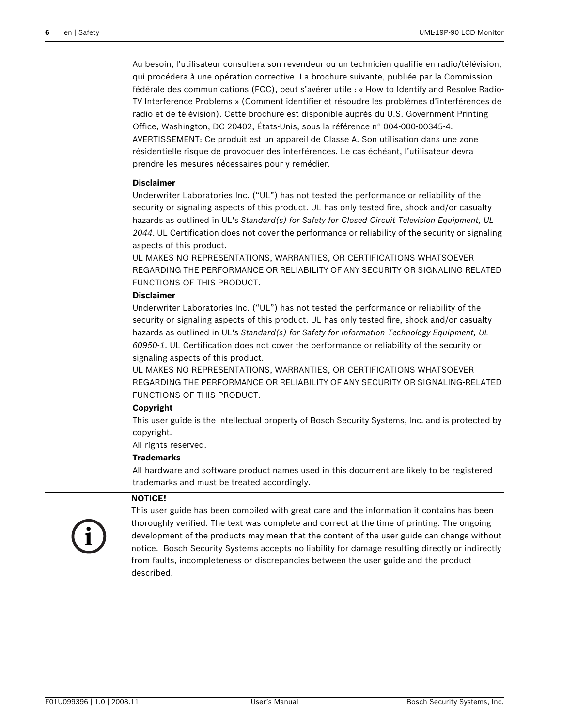Au besoin, l'utilisateur consultera son revendeur ou un technicien qualifié en radio/télévision, qui procédera à une opération corrective. La brochure suivante, publiée par la Commission fédérale des communications (FCC), peut s'avérer utile : « How to Identify and Resolve Radio-TV Interference Problems » (Comment identifier et résoudre les problèmes d'interférences de radio et de télévision). Cette brochure est disponible auprès du U.S. Government Printing Office, Washington, DC 20402, États-Unis, sous la référence n° 004-000-00345-4. AVERTISSEMENT: Ce produit est un appareil de Classe A. Son utilisation dans une zone résidentielle risque de provoquer des interférences. Le cas échéant, l'utilisateur devra prendre les mesures nécessaires pour y remédier.

#### **Disclaimer**

Underwriter Laboratories Inc. ("UL") has not tested the performance or reliability of the security or signaling aspects of this product. UL has only tested fire, shock and/or casualty hazards as outlined in UL's *Standard(s) for Safety for Closed Circuit Television Equipment, UL 2044*. UL Certification does not cover the performance or reliability of the security or signaling aspects of this product.

UL MAKES NO REPRESENTATIONS, WARRANTIES, OR CERTIFICATIONS WHATSOEVER REGARDING THE PERFORMANCE OR RELIABILITY OF ANY SECURITY OR SIGNALING RELATED FUNCTIONS OF THIS PRODUCT.

#### **Disclaimer**

Underwriter Laboratories Inc. ("UL") has not tested the performance or reliability of the security or signaling aspects of this product. UL has only tested fire, shock and/or casualty hazards as outlined in UL's *Standard(s) for Safety for Information Technology Equipment, UL 60950-1*. UL Certification does not cover the performance or reliability of the security or signaling aspects of this product.

UL MAKES NO REPRESENTATIONS, WARRANTIES, OR CERTIFICATIONS WHATSOEVER REGARDING THE PERFORMANCE OR RELIABILITY OF ANY SECURITY OR SIGNALING-RELATED FUNCTIONS OF THIS PRODUCT.

## **Copyright**

This user guide is the intellectual property of Bosch Security Systems, Inc. and is protected by copyright.

All rights reserved.

## **Trademarks**

All hardware and software product names used in this document are likely to be registered trademarks and must be treated accordingly.

## **NOTICE!**

**i**

This user guide has been compiled with great care and the information it contains has been thoroughly verified. The text was complete and correct at the time of printing. The ongoing development of the products may mean that the content of the user guide can change without notice. Bosch Security Systems accepts no liability for damage resulting directly or indirectly from faults, incompleteness or discrepancies between the user guide and the product described.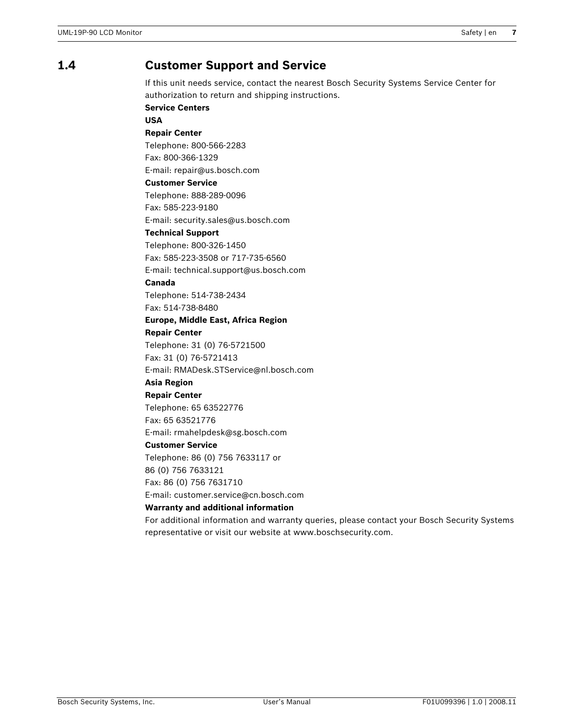# **1.4 Customer Support and Service**

If this unit needs service, contact the nearest Bosch Security Systems Service Center for authorization to return and shipping instructions.

## **Service Centers**

**USA**

#### **Repair Center**

Telephone: 800-566-2283

Fax: 800-366-1329

E-mail: repair@us.bosch.com

## **Customer Service**

Telephone: 888-289-0096 Fax: 585-223-9180 E-mail: security.sales@us.bosch.com

#### **Technical Support**

Telephone: 800-326-1450 Fax: 585-223-3508 or 717-735-6560 E-mail: technical.support@us.bosch.com

#### **Canada**

Telephone: 514-738-2434 Fax: 514-738-8480

#### **Europe, Middle East, Africa Region**

#### **Repair Center**

Telephone: 31 (0) 76-5721500 Fax: 31 (0) 76-5721413 E-mail: RMADesk.STService@nl.bosch.com

#### **Asia Region**

## **Repair Center**

Telephone: 65 63522776

Fax: 65 63521776

E-mail: rmahelpdesk@sg.bosch.com

## **Customer Service**

Telephone: 86 (0) 756 7633117 or

86 (0) 756 7633121

Fax: 86 (0) 756 7631710

E-mail: customer.service@cn.bosch.com

## **Warranty and additional information**

For additional information and warranty queries, please contact your Bosch Security Systems representative or visit our website at www.boschsecurity.com.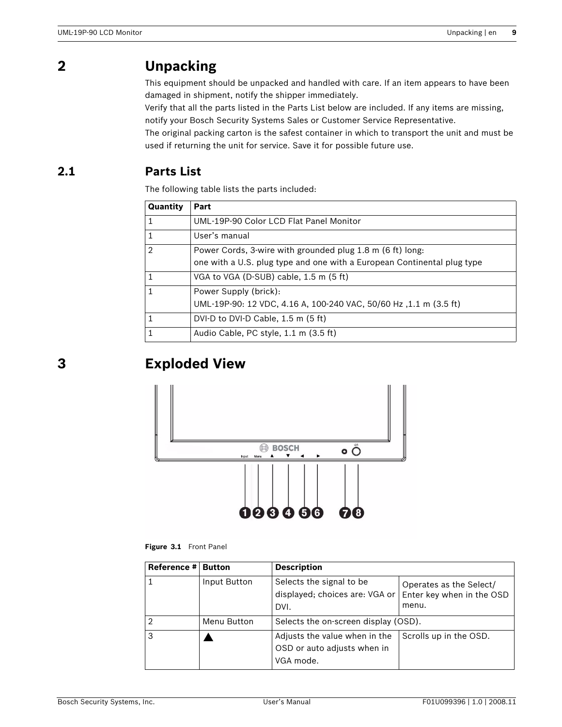# **2 Unpacking**

This equipment should be unpacked and handled with care. If an item appears to have been damaged in shipment, notify the shipper immediately.

Verify that all the parts listed in the Parts List below are included. If any items are missing, notify your Bosch Security Systems Sales or Customer Service Representative.

The original packing carton is the safest container in which to transport the unit and must be used if returning the unit for service. Save it for possible future use.

# **2.1 Parts List**

The following table lists the parts included:

| Quantity      | Part                                                                                                                                 |
|---------------|--------------------------------------------------------------------------------------------------------------------------------------|
|               | UML-19P-90 Color LCD Flat Panel Monitor                                                                                              |
| 1             | User's manual                                                                                                                        |
| $\mathcal{P}$ | Power Cords, 3-wire with grounded plug 1.8 m (6 ft) long.<br>one with a U.S. plug type and one with a European Continental plug type |
|               | VGA to VGA (D-SUB) cable, 1.5 m (5 ft)                                                                                               |
|               | Power Supply (brick):<br>UML-19P-90: 12 VDC, 4.16 A, 100-240 VAC, 50/60 Hz, 1.1 m (3.5 ft)                                           |
|               | DVI-D to DVI-D Cable, 1.5 m (5 ft)                                                                                                   |
|               | Audio Cable, PC style, 1.1 m (3.5 ft)                                                                                                |

**3 Exploded View**





| Reference $#$ | <b>Button</b> | <b>Description</b>                                                        |                                                               |
|---------------|---------------|---------------------------------------------------------------------------|---------------------------------------------------------------|
|               | Input Button  | Selects the signal to be<br>displayed; choices are: VGA or<br>DVI.        | Operates as the Select/<br>Enter key when in the OSD<br>menu. |
| 2             | Menu Button   | Selects the on-screen display (OSD).                                      |                                                               |
| 3             |               | Adjusts the value when in the<br>OSD or auto adjusts when in<br>VGA mode. | Scrolls up in the OSD.                                        |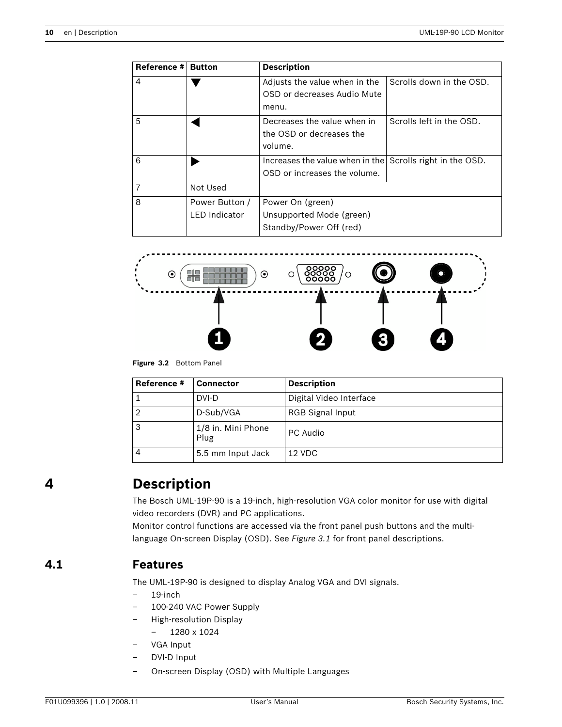| Reference #    | <b>Button</b>        | <b>Description</b>                                        |                          |
|----------------|----------------------|-----------------------------------------------------------|--------------------------|
| $\overline{A}$ |                      | Adjusts the value when in the                             | Scrolls down in the OSD. |
|                |                      | OSD or decreases Audio Mute                               |                          |
|                |                      | menu.                                                     |                          |
| 5              |                      | Decreases the value when in                               | Scrolls left in the OSD. |
|                |                      | the OSD or decreases the                                  |                          |
|                |                      | volume.                                                   |                          |
| 6              |                      | Increases the value when in the Scrolls right in the OSD. |                          |
|                |                      | OSD or increases the volume.                              |                          |
| 7              | Not Used             |                                                           |                          |
| 8              | Power Button /       | Power On (green)                                          |                          |
|                | <b>LED</b> Indicator | Unsupported Mode (green)                                  |                          |
|                |                      | Standby/Power Off (red)                                   |                          |



**Figure 3.2** Bottom Panel

| Reference # | Connector                  | <b>Description</b>      |
|-------------|----------------------------|-------------------------|
|             | DVI-D                      | Digital Video Interface |
|             | D-Sub/VGA                  | RGB Signal Input        |
|             | 1/8 in. Mini Phone<br>Plug | PC Audio                |
|             | 5.5 mm Input Jack          | 12 VDC                  |

# **4 Description**

The Bosch UML-19P-90 is a 19-inch, high-resolution VGA color monitor for use with digital video recorders (DVR) and PC applications.

Monitor control functions are accessed via the front panel push buttons and the multilanguage On-screen Display (OSD). See *Figure 3.1* for front panel descriptions.

# **4.1 Features**

The UML-19P-90 is designed to display Analog VGA and DVI signals.

- 19-inch
- 100-240 VAC Power Supply
- High-resolution Display
	- 1280 x 1024
- VGA Input
- DVI-D Input
- On-screen Display (OSD) with Multiple Languages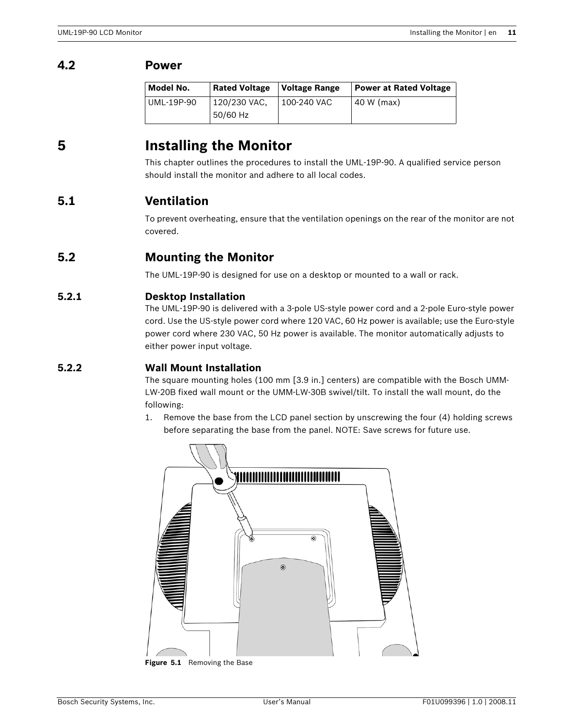## **4.2 Power**

| Model No.  | <b>Rated Voltage</b> | Voltage Range | <b>Power at Rated Voltage</b> |
|------------|----------------------|---------------|-------------------------------|
| UML-19P-90 | 120/230 VAC.         | 100-240 VAC   | 40 W (max)                    |
|            | 50/60 Hz             |               |                               |

# **5 Installing the Monitor**

This chapter outlines the procedures to install the UML-19P-90. A qualified service person should install the monitor and adhere to all local codes.

# **5.1 Ventilation**

To prevent overheating, ensure that the ventilation openings on the rear of the monitor are not covered.

# **5.2 Mounting the Monitor**

The UML-19P-90 is designed for use on a desktop or mounted to a wall or rack.

## **5.2.1 Desktop Installation**

The UML-19P-90 is delivered with a 3-pole US-style power cord and a 2-pole Euro-style power cord. Use the US-style power cord where 120 VAC, 60 Hz power is available; use the Euro-style power cord where 230 VAC, 50 Hz power is available. The monitor automatically adjusts to either power input voltage.

## **5.2.2 Wall Mount Installation**

The square mounting holes (100 mm [3.9 in.] centers) are compatible with the Bosch UMM-LW-20B fixed wall mount or the UMM-LW-30B swivel/tilt. To install the wall mount, do the following:

1. Remove the base from the LCD panel section by unscrewing the four (4) holding screws before separating the base from the panel. NOTE: Save screws for future use.



**Figure 5.1** Removing the Base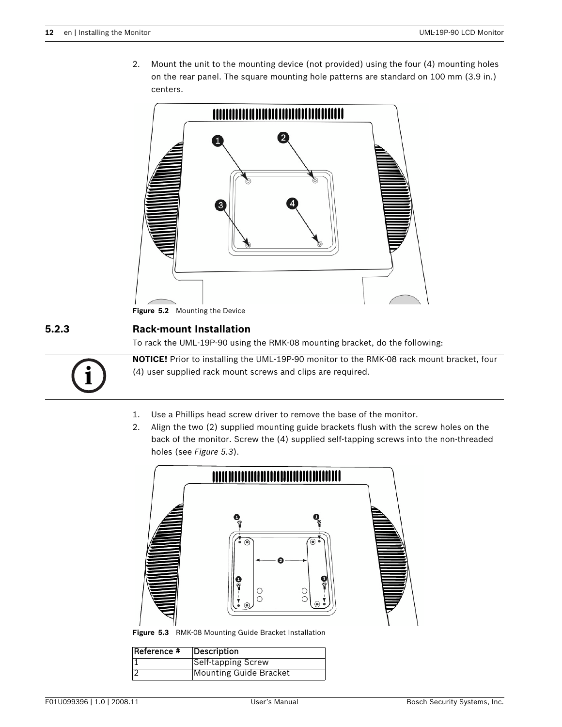2. Mount the unit to the mounting device (not provided) using the four (4) mounting holes on the rear panel. The square mounting hole patterns are standard on 100 mm (3.9 in.) centers.



**Figure 5.2** Mounting the Device

# **5.2.3 Rack-mount Installation**

To rack the UML-19P-90 using the RMK-08 mounting bracket, do the following:



**NOTICE!** Prior to installing the UML-19P-90 monitor to the RMK-08 rack mount bracket, four (4) user supplied rack mount screws and clips are required.

- 1. Use a Phillips head screw driver to remove the base of the monitor.
- 2. Align the two (2) supplied mounting guide brackets flush with the screw holes on the back of the monitor. Screw the (4) supplied self-tapping screws into the non-threaded holes (see *Figure 5.3*).



**Figure 5.3** RMK-08 Mounting Guide Bracket Installation

| Reference # | Description            |
|-------------|------------------------|
|             | Self-tapping Screw     |
|             | Mounting Guide Bracket |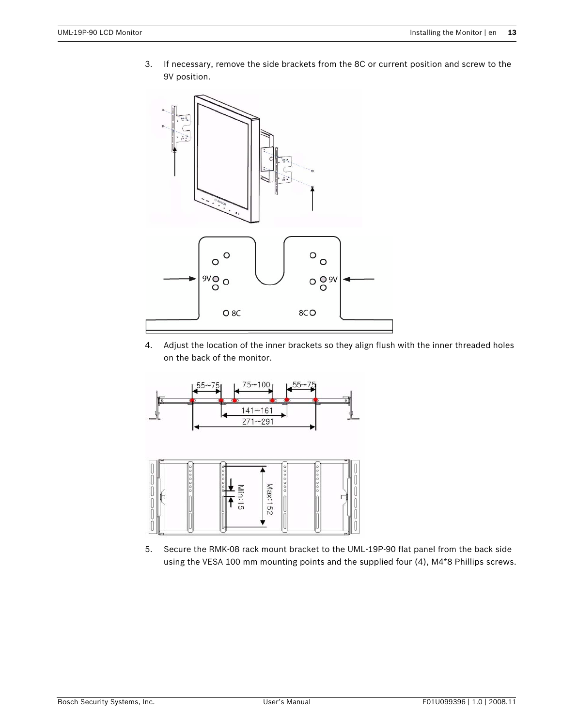3. If necessary, remove the side brackets from the 8C or current position and screw to the 9V position.



4. Adjust the location of the inner brackets so they align flush with the inner threaded holes on the back of the monitor.



5. Secure the RMK-08 rack mount bracket to the UML-19P-90 flat panel from the back side using the VESA 100 mm mounting points and the supplied four (4), M4\*8 Phillips screws.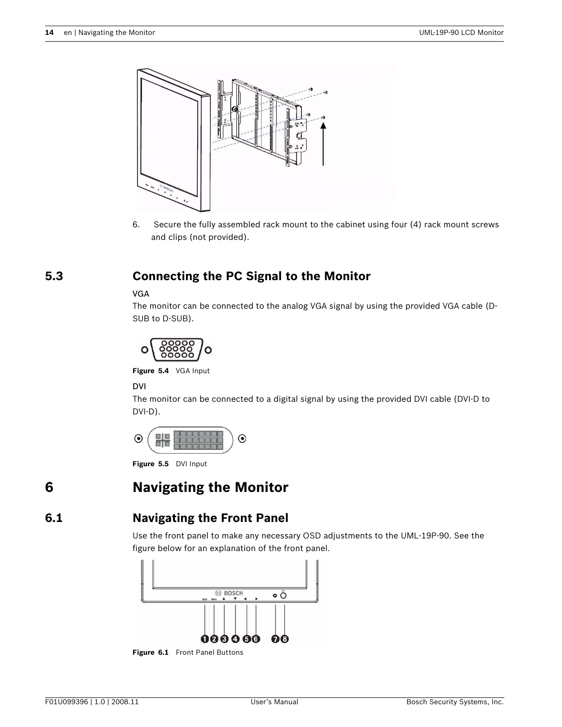

6. Secure the fully assembled rack mount to the cabinet using four (4) rack mount screws and clips (not provided).

# **5.3 Connecting the PC Signal to the Monitor**

## VGA

The monitor can be connected to the analog VGA signal by using the provided VGA cable (D-SUB to D-SUB).



**Figure 5.4** VGA Input

## DVI

The monitor can be connected to a digital signal by using the provided DVI cable (DVI-D to DVI-D).



**Figure 5.5** DVI Input

# **6 Navigating the Monitor**

# **6.1 Navigating the Front Panel**

Use the front panel to make any necessary OSD adjustments to the UML-19P-90. See the figure below for an explanation of the front panel.



Figure 6.1 Front Panel Buttons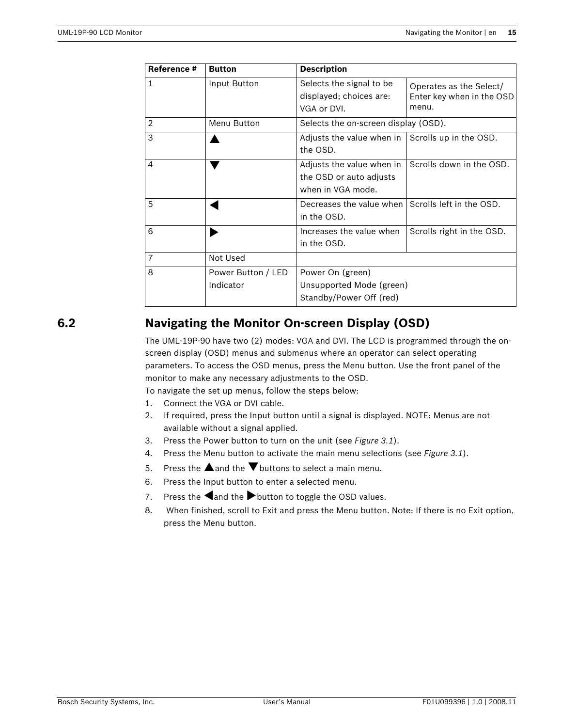| Reference #    | <b>Button</b>                   | <b>Description</b>                                                        |                                                               |
|----------------|---------------------------------|---------------------------------------------------------------------------|---------------------------------------------------------------|
| $\mathbf{1}$   | Input Button                    | Selects the signal to be<br>displayed; choices are:<br>VGA or DVI.        | Operates as the Select/<br>Enter key when in the OSD<br>menu. |
| $\overline{2}$ | Menu Button                     | Selects the on-screen display (OSD).                                      |                                                               |
| 3              |                                 | Adjusts the value when in<br>the OSD.                                     | Scrolls up in the OSD.                                        |
| 4              |                                 | Adjusts the value when in<br>the OSD or auto adjusts<br>when in VGA mode. | Scrolls down in the OSD.                                      |
| 5              |                                 | Decreases the value when<br>in the OSD.                                   | Scrolls left in the OSD.                                      |
| 6              |                                 | Increases the value when<br>in the OSD.                                   | Scrolls right in the OSD.                                     |
| $\overline{7}$ | Not Used                        |                                                                           |                                                               |
| 8              | Power Button / LED<br>Indicator | Power On (green)<br>Unsupported Mode (green)<br>Standby/Power Off (red)   |                                                               |

# **6.2 Navigating the Monitor On-screen Display (OSD)**

The UML-19P-90 have two (2) modes: VGA and DVI. The LCD is programmed through the onscreen display (OSD) menus and submenus where an operator can select operating parameters. To access the OSD menus, press the Menu button. Use the front panel of the monitor to make any necessary adjustments to the OSD.

To navigate the set up menus, follow the steps below:

- 1. Connect the VGA or DVI cable.
- 2. If required, press the Input button until a signal is displayed. NOTE: Menus are not available without a signal applied.
- 3. Press the Power button to turn on the unit (see *Figure 3.1*).
- 4. Press the Menu button to activate the main menu selections (see *Figure 3.1*).
- 5. Press the **A** and the **V** buttons to select a main menu.
- 6. Press the Input button to enter a selected menu.
- 7. Press the  $\triangleleft$  and the  $\triangleright$  button to toggle the OSD values.
- 8. When finished, scroll to Exit and press the Menu button. Note: If there is no Exit option, press the Menu button.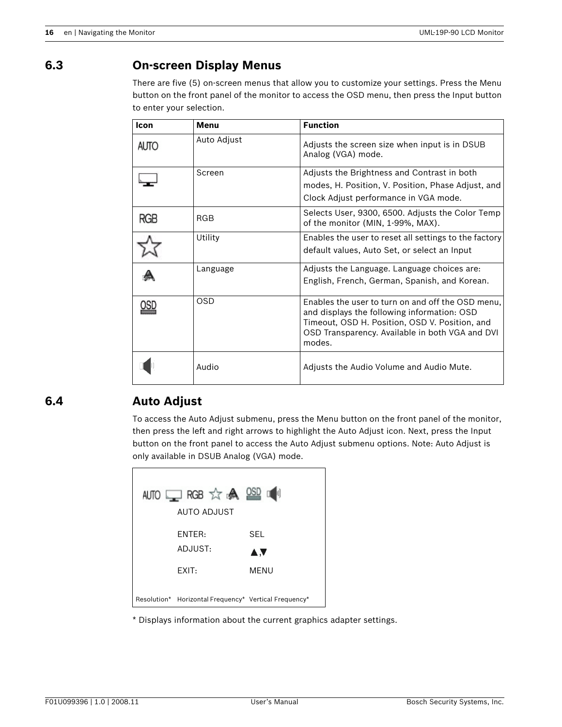# **6.3 On-screen Display Menus**

There are five (5) on-screen menus that allow you to customize your settings. Press the Menu button on the front panel of the monitor to access the OSD menu, then press the Input button to enter your selection.

| <b>Icon</b> | Menu        | <b>Function</b>                                                                                                                                                                                                 |
|-------------|-------------|-----------------------------------------------------------------------------------------------------------------------------------------------------------------------------------------------------------------|
| <b>AUTO</b> | Auto Adjust | Adjusts the screen size when input is in DSUB<br>Analog (VGA) mode.                                                                                                                                             |
|             | Screen      | Adjusts the Brightness and Contrast in both<br>modes, H. Position, V. Position, Phase Adjust, and<br>Clock Adjust performance in VGA mode.                                                                      |
| RGB         | <b>RGB</b>  | Selects User, 9300, 6500. Adjusts the Color Temp<br>of the monitor (MIN, 1-99%, MAX).                                                                                                                           |
|             | Utility     | Enables the user to reset all settings to the factory<br>default values, Auto Set, or select an Input                                                                                                           |
|             | Language    | Adjusts the Language. Language choices are:<br>English, French, German, Spanish, and Korean.                                                                                                                    |
|             | OSD         | Enables the user to turn on and off the OSD menu.<br>and displays the following information: OSD<br>Timeout, OSD H. Position, OSD V. Position, and<br>OSD Transparency. Available in both VGA and DVI<br>modes. |
|             | Audio       | Adjusts the Audio Volume and Audio Mute.                                                                                                                                                                        |

**6.4 Auto Adjust**

To access the Auto Adjust submenu, press the Menu button on the front panel of the monitor, then press the left and right arrows to highlight the Auto Adjust icon. Next, press the Input button on the front panel to access the Auto Adjust submenu options. Note: Auto Adjust is only available in DSUB Analog (VGA) mode.



\* Displays information about the current graphics adapter settings.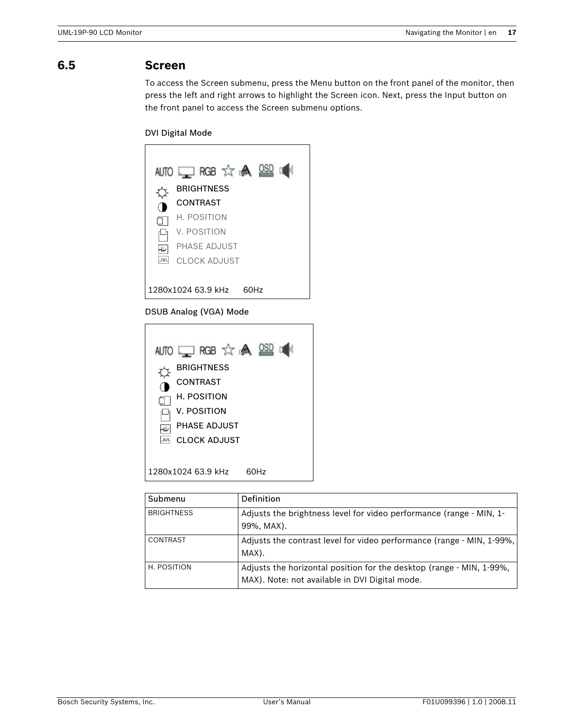# **6.5 Screen**

To access the Screen submenu, press the Menu button on the front panel of the monitor, then press the left and right arrows to highlight the Screen icon. Next, press the Input button on the front panel to access the Screen submenu options.

#### DVI Digital Mode

|            | AUTO $\Box$ RGB $\hat{\times}$ $\mathbb{A}$ $\stackrel{\text{OSD}}{=}$<br><b>BRIGHTNESS</b> |
|------------|---------------------------------------------------------------------------------------------|
| Q          | CONTRAST                                                                                    |
|            | H. POSITION                                                                                 |
|            | V. POSITION                                                                                 |
|            | PHASE ADJUST                                                                                |
| <b>JUL</b> | CLOCK ADJUST                                                                                |
|            | 1280x1024 63.9 kHz<br>60Hz                                                                  |

DSUB Analog (VGA) Mode

Г

| <u>OSD</u><br>AUTO $\Box$ RGB $\mathbb{\hat{A}}$ A<br><b>BRIGHTNESS</b><br>CONTRAST<br>H. POSITION<br>V. POSITION<br>PHASE ADJUST<br>CLOCK ADJUST<br><b>JUL</b> |  |
|-----------------------------------------------------------------------------------------------------------------------------------------------------------------|--|
| 1280x1024 63.9 kHz<br>60Hz                                                                                                                                      |  |

| Submenu           | Definition                                                                                                             |
|-------------------|------------------------------------------------------------------------------------------------------------------------|
| <b>BRIGHTNESS</b> | Adjusts the brightness level for video performance (range - MIN, 1-<br>99%, MAX).                                      |
| <b>CONTRAST</b>   | Adjusts the contrast level for video performance (range - MIN, 1-99%,<br>MAX).                                         |
| H. POSITION       | Adjusts the horizontal position for the desktop (range - MIN, 1-99%,<br>MAX). Note: not available in DVI Digital mode. |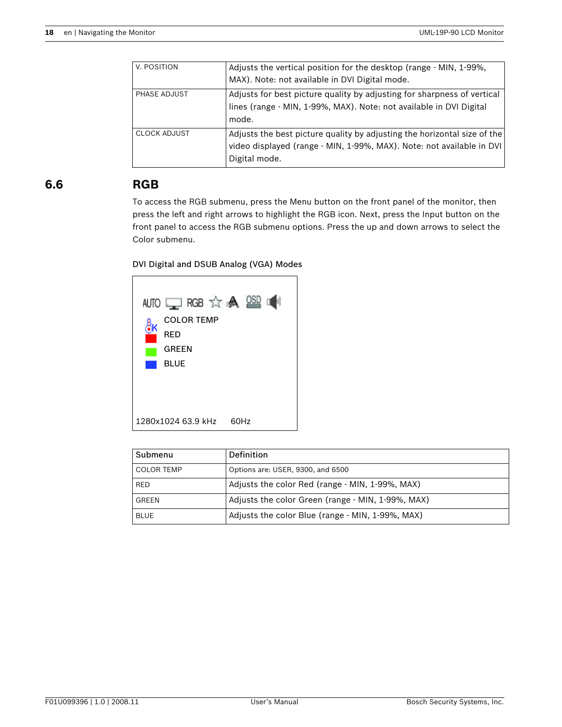| V. POSITION         | Adjusts the vertical position for the desktop (range - MIN, 1-99%,<br>MAX). Note: not available in DVI Digital mode.                                               |
|---------------------|--------------------------------------------------------------------------------------------------------------------------------------------------------------------|
| PHASE ADJUST        | Adjusts for best picture quality by adjusting for sharpness of vertical<br>lines (range - MIN, 1-99%, MAX). Note: not available in DVI Digital<br>mode.            |
| <b>CLOCK ADJUST</b> | Adjusts the best picture quality by adjusting the horizontal size of the<br>video displayed (range - MIN, 1-99%, MAX). Note: not available in DVI<br>Digital mode. |

# **6.6 RGB**

To access the RGB submenu, press the Menu button on the front panel of the monitor, then press the left and right arrows to highlight the RGB icon. Next, press the Input button on the front panel to access the RGB submenu options. Press the up and down arrows to select the Color submenu.

DVI Digital and DSUB Analog (VGA) Modes



| Submenu           | Definition                                        |
|-------------------|---------------------------------------------------|
| <b>COLOR TEMP</b> | Options are: USER, 9300, and 6500                 |
| <b>RED</b>        | Adjusts the color Red (range - MIN, 1-99%, MAX)   |
| GREEN             | Adjusts the color Green (range - MIN, 1-99%, MAX) |
| <b>BLUE</b>       | Adjusts the color Blue (range - MIN, 1-99%, MAX)  |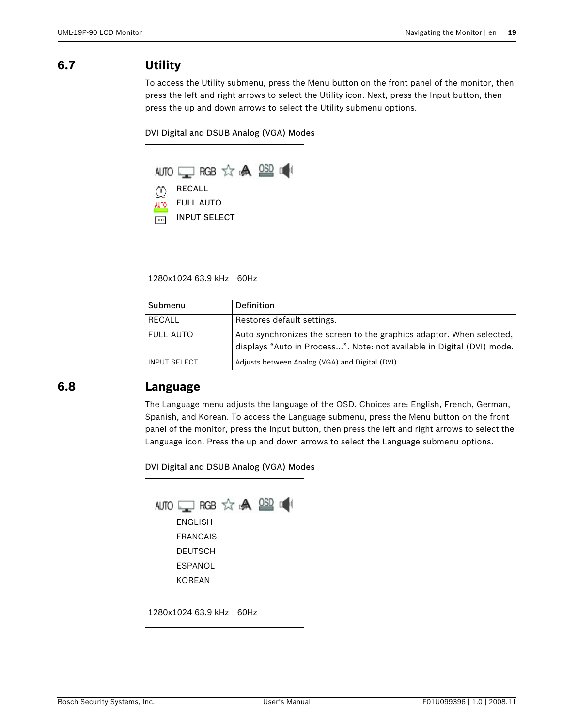# **6.7 Utility**

To access the Utility submenu, press the Menu button on the front panel of the monitor, then press the left and right arrows to select the Utility icon. Next, press the Input button, then press the up and down arrows to select the Utility submenu options.

DVI Digital and DSUB Analog (VGA) Modes



| Submenu             | Definition                                                                                                                                     |
|---------------------|------------------------------------------------------------------------------------------------------------------------------------------------|
| RECALL              | Restores default settings.                                                                                                                     |
| <b>FULL AUTO</b>    | Auto synchronizes the screen to the graphics adaptor. When selected,<br>displays "Auto in Process". Note: not available in Digital (DVI) mode. |
| <b>INPUT SELECT</b> | Adjusts between Analog (VGA) and Digital (DVI).                                                                                                |

# **6.8 Language**

The Language menu adjusts the language of the OSD. Choices are: English, French, German, Spanish, and Korean. To access the Language submenu, press the Menu button on the front panel of the monitor, press the Input button, then press the left and right arrows to select the Language icon. Press the up and down arrows to select the Language submenu options.

DVI Digital and DSUB Analog (VGA) Modes

| AUTO $\Box$ RGB $\hat{\times}$ $\mathbf{A}$ $\overset{\text{OSD}}{=}$ D |
|-------------------------------------------------------------------------|
| <b>FNGLISH</b>                                                          |
| <b>FRANCAIS</b>                                                         |
| <b>DEUTSCH</b>                                                          |
| <b>FSPANOL</b>                                                          |
| <b>KORFAN</b>                                                           |
|                                                                         |
| 1280x1024 63.9 kHz 60Hz                                                 |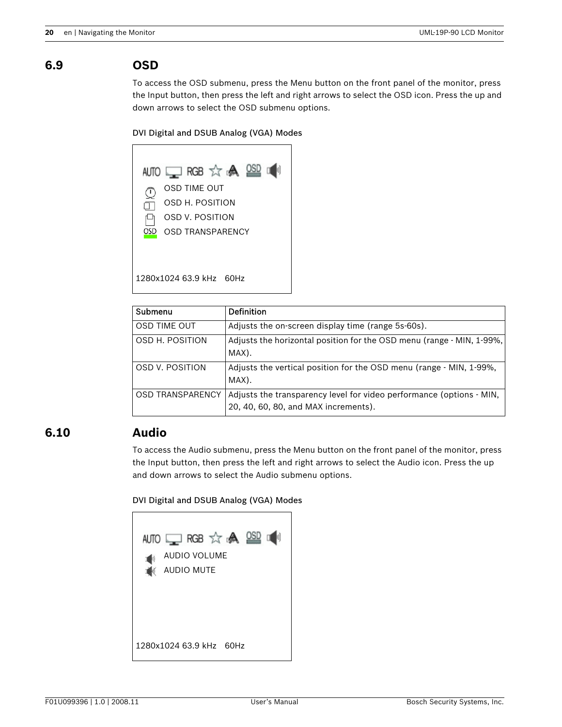# **6.9 OSD**

To access the OSD submenu, press the Menu button on the front panel of the monitor, press the Input button, then press the left and right arrows to select the OSD icon. Press the up and down arrows to select the OSD submenu options.

DVI Digital and DSUB Analog (VGA) Modes

| J.                      | AUTO $\Box$ RGB $\hat{\times}$ $\mathbb{A}$ $\stackrel{\text{OSD}}{=}$<br>OSD TIME OUT<br>OSD H. POSITION |
|-------------------------|-----------------------------------------------------------------------------------------------------------|
| <b>OSD</b>              | OSD V. POSITION<br><b>OSD TRANSPARENCY</b>                                                                |
| 1280x1024 63.9 kHz 60Hz |                                                                                                           |

| Submenu                 | <b>Definition</b>                                                                                            |
|-------------------------|--------------------------------------------------------------------------------------------------------------|
| OSD TIME OUT            | Adjusts the on-screen display time (range 5s-60s).                                                           |
| OSD H. POSITION         | Adjusts the horizontal position for the OSD menu (range - MIN, 1-99%,<br>MAX).                               |
| OSD V. POSITION         | Adjusts the vertical position for the OSD menu (range - MIN, 1-99%,<br>MAX).                                 |
| <b>OSD TRANSPARENCY</b> | Adjusts the transparency level for video performance (options - MIN,<br>20, 40, 60, 80, and MAX increments). |

# **6.10 Audio**

To access the Audio submenu, press the Menu button on the front panel of the monitor, press the Input button, then press the left and right arrows to select the Audio icon. Press the up and down arrows to select the Audio submenu options.

DVI Digital and DSUB Analog (VGA) Modes

| AUTO __ RGB ☆ A <u>OSD</u> o<br><b>AUDIO VOLUME</b><br>AUDIO MUTE |
|-------------------------------------------------------------------|
| 1280x1024 63.9 kHz 60Hz                                           |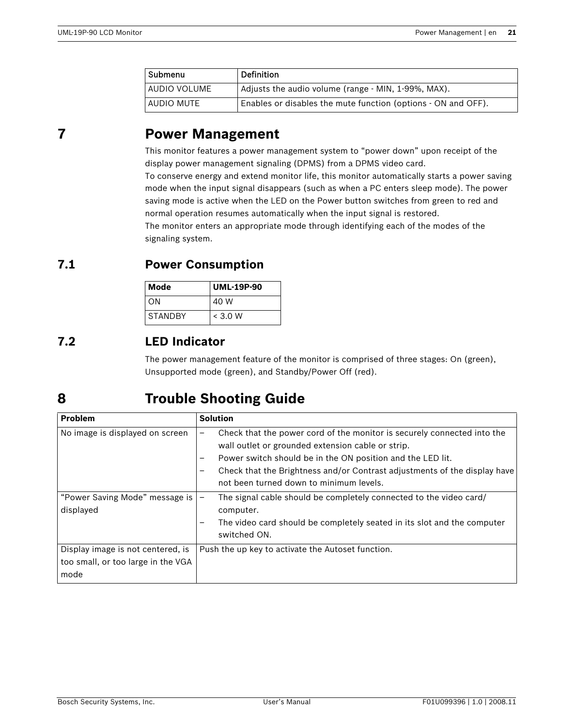| Submenu      | <b>Definition</b>                                             |
|--------------|---------------------------------------------------------------|
| AUDIO VOLUME | Adjusts the audio volume (range - MIN, 1-99%, MAX).           |
| AUDIO MUTE   | Enables or disables the mute function (options - ON and OFF). |

# **7 Power Management**

This monitor features a power management system to "power down" upon receipt of the display power management signaling (DPMS) from a DPMS video card.

To conserve energy and extend monitor life, this monitor automatically starts a power saving mode when the input signal disappears (such as when a PC enters sleep mode). The power saving mode is active when the LED on the Power button switches from green to red and normal operation resumes automatically when the input signal is restored. The monitor enters an appropriate mode through identifying each of the modes of the

signaling system.

# **7.1 Power Consumption**

| Mode           | <b>UML-19P-90</b> |
|----------------|-------------------|
| OΝ             | 40 W              |
| <b>STANDBY</b> | $<$ 3.0 W         |

# **7.2 LED Indicator**

The power management feature of the monitor is comprised of three stages: On (green), Unsupported mode (green), and Standby/Power Off (red).

# **8 Trouble Shooting Guide**

| Problem                                                                         | <b>Solution</b>                                                                                                                                                                                                                                                                                                                                 |
|---------------------------------------------------------------------------------|-------------------------------------------------------------------------------------------------------------------------------------------------------------------------------------------------------------------------------------------------------------------------------------------------------------------------------------------------|
| No image is displayed on screen                                                 | Check that the power cord of the monitor is securely connected into the<br>-<br>wall outlet or grounded extension cable or strip.<br>Power switch should be in the ON position and the LED lit.<br>$\qquad \qquad$<br>Check that the Brightness and/or Contrast adjustments of the display have<br>-<br>not been turned down to minimum levels. |
| "Power Saving Mode" message is<br>displayed                                     | The signal cable should be completely connected to the video card/<br>$\overline{\phantom{m}}$<br>computer.<br>The video card should be completely seated in its slot and the computer<br>-<br>switched ON.                                                                                                                                     |
| Display image is not centered, is<br>too small, or too large in the VGA<br>mode | Push the up key to activate the Autoset function.                                                                                                                                                                                                                                                                                               |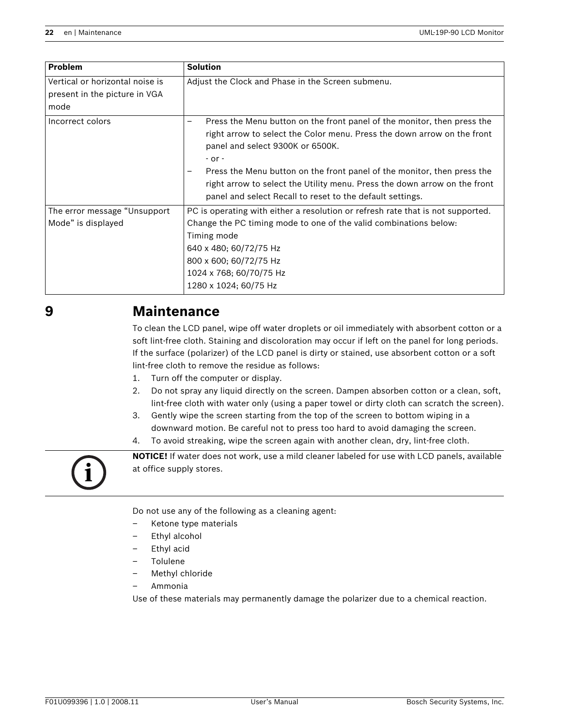| Problem                                                                  | <b>Solution</b>                                                                                                                                                                                                                                                                                                                                                                                                                     |
|--------------------------------------------------------------------------|-------------------------------------------------------------------------------------------------------------------------------------------------------------------------------------------------------------------------------------------------------------------------------------------------------------------------------------------------------------------------------------------------------------------------------------|
| Vertical or horizontal noise is<br>present in the picture in VGA<br>mode | Adjust the Clock and Phase in the Screen submenu.                                                                                                                                                                                                                                                                                                                                                                                   |
| Incorrect colors                                                         | Press the Menu button on the front panel of the monitor, then press the<br>-<br>right arrow to select the Color menu. Press the down arrow on the front<br>panel and select 9300K or 6500K.<br>$-$ or $-$<br>Press the Menu button on the front panel of the monitor, then press the<br>-<br>right arrow to select the Utility menu. Press the down arrow on the front<br>panel and select Recall to reset to the default settings. |
| The error message "Unsupport"<br>Mode" is displayed                      | PC is operating with either a resolution or refresh rate that is not supported.<br>Change the PC timing mode to one of the valid combinations below:<br>Timing mode<br>640 x 480; 60/72/75 Hz<br>800 x 600; 60/72/75 Hz<br>1024 x 768; 60/70/75 Hz<br>1280 x 1024; 60/75 Hz                                                                                                                                                         |

# **9 Maintenance**

To clean the LCD panel, wipe off water droplets or oil immediately with absorbent cotton or a soft lint-free cloth. Staining and discoloration may occur if left on the panel for long periods. If the surface (polarizer) of the LCD panel is dirty or stained, use absorbent cotton or a soft lint-free cloth to remove the residue as follows:

- 1. Turn off the computer or display.
- 2. Do not spray any liquid directly on the screen. Dampen absorben cotton or a clean, soft, lint-free cloth with water only (using a paper towel or dirty cloth can scratch the screen).
- 3. Gently wipe the screen starting from the top of the screen to bottom wiping in a downward motion. Be careful not to press too hard to avoid damaging the screen.
- 4. To avoid streaking, wipe the screen again with another clean, dry, lint-free cloth.

**i**

**NOTICE!** If water does not work, use a mild cleaner labeled for use with LCD panels, available at office supply stores.

Do not use any of the following as a cleaning agent:

- Ketone type materials
- Ethyl alcohol
- Ethyl acid
- Tolulene
- Methyl chloride
- Ammonia

Use of these materials may permanently damage the polarizer due to a chemical reaction.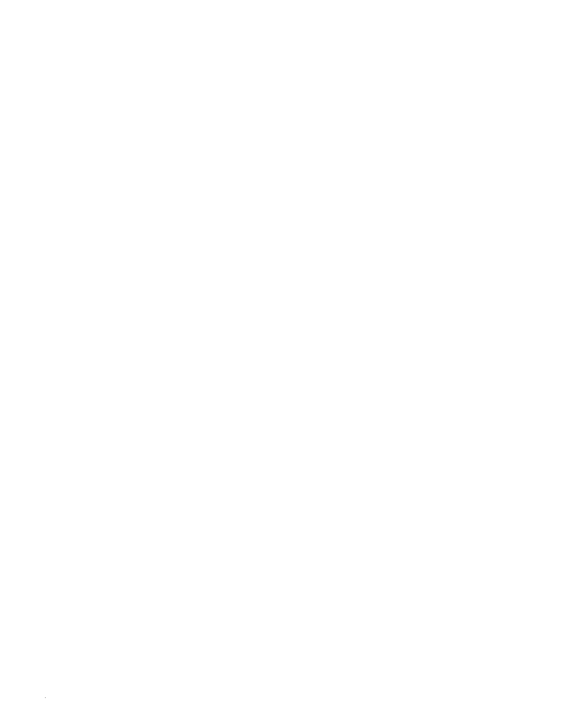$\hat{\boldsymbol{\gamma}}$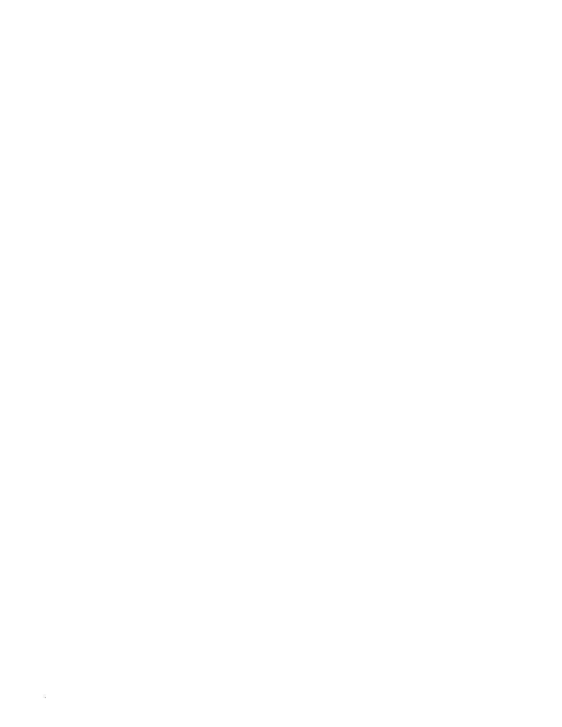$\hat{\boldsymbol{\gamma}}$